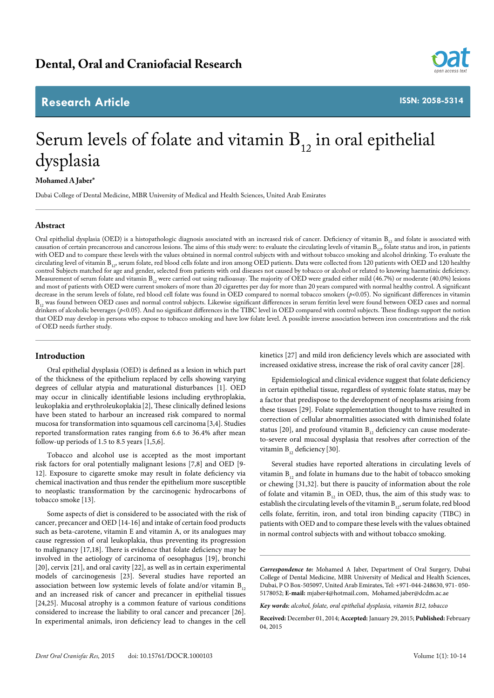# **Research Article**



**ISSN: 2058-5314**

# Serum levels of folate and vitamin  $B_{12}$  in oral epithelial dysplasia

# **Mohamed A Jaber\***

Dubai College of Dental Medicine, MBR University of Medical and Health Sciences, United Arab Emirates

# **Abstract**

Oral epithelial dysplasia (OED) is a histopathologic diagnosis associated with an increased risk of cancer. Deficiency of vitamin  $B_1$ , and folate is associated with causation of certain precancerous and cancerous lesions. The aims of this study were: to evaluate the circulating levels of vitamin B<sub>12</sub>, folate status and iron, in patients with OED and to compare these levels with the values obtained in normal control subjects with and without tobacco smoking and alcohol drinking. To evaluate the circulating level of vitamin B<sub>12</sub>, serum folate, red blood cells folate and iron among OED patients. Data were collected from 120 patients with OED and 120 healthy control Subjects matched for age and gender, selected from patients with oral diseases not caused by tobacco or alcohol or related to knowing haematinic deficiency. Measurement of serum folate and vitamin B<sub>12</sub> were carried out using radioassay. The majority of OED were graded either mild (46.7%) or moderate (40.0%) lesions and most of patients with OED were current smokers of more than 20 cigarettes per day for more than 20 years compared with normal healthy control. A significant decrease in the serum levels of folate, red blood cell folate was found in OED compared to normal tobacco smokers ( $p$ <0.05). No significant differences in vitamin B<sub>12</sub> was found between OED cases and normal control subjects. Likewise significant differences in serum ferritin level were found between OED cases and normal drinkers of alcoholic beverages (p<0.05). And no significant differences in the TIBC level in OED compared with control subjects. These findings support the notion that OED may develop in persons who expose to tobacco smoking and have low folate level. A possible inverse association between iron concentrations and the risk of OED needs further study.

# **Introduction**

Oral epithelial dysplasia (OED) is defined as a lesion in which part of the thickness of the epithelium replaced by cells showing varying degrees of cellular atypia and maturational disturbances [1]. OED may occur in clinically identifiable lesions including erythroplakia, leukoplakia and erythroleukoplakia [2], These clinically defined lesions have been stated to harbour an increased risk compared to normal mucosa for transformation into squamous cell carcinoma [3,4]. Studies reported transformation rates ranging from 6.6 to 36.4% after mean follow-up periods of 1.5 to 8.5 years [1,5,6].

Tobacco and alcohol use is accepted as the most important risk factors for oral potentially malignant lesions [7,8] and OED [9- 12]. Exposure to cigarette smoke may result in folate deficiency via chemical inactivation and thus render the epithelium more susceptible to neoplastic transformation by the carcinogenic hydrocarbons of tobacco smoke [13].

Some aspects of diet is considered to be associated with the risk of cancer, precancer and OED [14-16] and intake of certain food products such as beta-carotene, vitamin E and vitamin A, or its analogues may cause regression of oral leukoplakia, thus preventing its progression to malignancy [17,18]. There is evidence that folate deficiency may be involved in the aetiology of carcinoma of oesophagus [19], bronchi [20], cervix [21], and oral cavity [22], as well as in certain experimental models of carcinogenesis [23]. Several studies have reported an association between low systemic levels of folate and/or vitamin  $B_{12}$ and an increased risk of cancer and precancer in epithelial tissues [24,25]. Mucosal atrophy is a common feature of various conditions considered to increase the liability to oral cancer and precancer [26]. In experimental animals, iron deficiency lead to changes in the cell

kinetics [27] and mild iron deficiency levels which are associated with increased oxidative stress, increase the risk of oral cavity cancer [28].

Epidemiological and clinical evidence suggest that folate deficiency in certain epithelial tissue, regardless of systemic folate status, may be a factor that predispose to the development of neoplasms arising from these tissues [29]. Folate supplementation thought to have resulted in correction of cellular abnormalities associated with diminished folate status [20], and profound vitamin  $B_{12}$  deficiency can cause moderateto-severe oral mucosal dysplasia that resolves after correction of the vitamin B<sub>12</sub> deficiency [30].

Several studies have reported alterations in circulating levels of vitamin  $B_{12}$  and folate in humans due to the habit of tobacco smoking or chewing [31,32]. but there is paucity of information about the role of folate and vitamin  $B_{12}$  in OED, thus, the aim of this study was: to establish the circulating levels of the vitamin  $B_{12}$ , serum folate, red blood cells folate, ferritin, iron, and total iron binding capacity (TIBC) in patients with OED and to compare these levels with the values obtained in normal control subjects with and without tobacco smoking.

*Key words: alcohol, folate, oral epithelial dysplasia, vitamin B12, tobacco*

*Correspondence to:* Mohamed A Jaber, Department of Oral Surgery, Dubai College of Dental Medicine, MBR University of Medical and Health Sciences, Dubai, P O Box-505097, United Arab Emirates, Tel: +971-044-248630, 971- 050- 5178052; **E-mail:** mjaber4@hotmail.com, Mohamed.jaber@dcdm.ac.ae

**Received:** December 01, 2014; **Accepted:** January 29, 2015; **Published:** February 04, 2015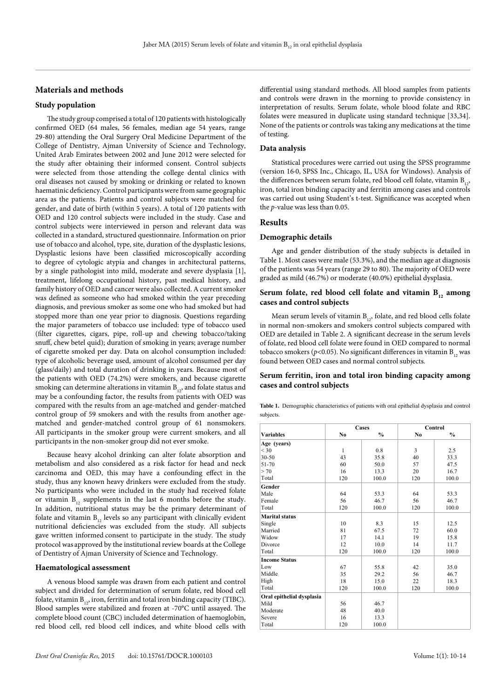# **Materials and methods**

# **Study population**

The study group comprised a total of 120 patients with histologically confirmed OED (64 males, 56 females, median age 54 years, range 29-80) attending the Oral Surgery Oral Medicine Department of the College of Dentistry, Ajman University of Science and Technology, United Arab Emirates between 2002 and June 2012 were selected for the study after obtaining their informed consent. Control subjects were selected from those attending the college dental clinics with oral diseases not caused by smoking or drinking or related to known haematinic deficiency. Control participants were from same geographic area as the patients. Patients and control subjects were matched for gender, and date of birth (within 5 years). A total of 120 patients with OED and 120 control subjects were included in the study. Case and control subjects were interviewed in person and relevant data was collected in a standard, structured questionnaire. Information on prior use of tobacco and alcohol, type, site, duration of the dysplastic lesions, Dysplastic lesions have been classified microscopically according to degree of cytologic atypia and changes in architectural patterns, by a single pathologist into mild, moderate and severe dysplasia [1], treatment, lifelong occupational history, past medical history, and family history of OED and cancer were also collected. A current smoker was defined as someone who had smoked within the year preceding diagnosis, and previous smoker as some one who had smoked but had stopped more than one year prior to diagnosis. Questions regarding the major parameters of tobacco use included: type of tobacco used (filter cigarettes, cigars, pipe, roll-up and chewing tobacco/taking snuff, chew betel quid); duration of smoking in years; average number of cigarette smoked per day. Data on alcohol consumption included: type of alcoholic beverage used, amount of alcohol consumed per day (glass/daily) and total duration of drinking in years. Because most of the patients with OED (74.2%) were smokers, and because cigarette smoking can determine alterations in vitamin  $B_{12}$ , and folate status and may be a confounding factor, the results from patients with OED was compared with the results from an age-matched and gender-matched control group of 59 smokers and with the results from another agematched and gender-matched control group of 61 nonsmokers. All participants in the smoker group were current smokers, and all participants in the non-smoker group did not ever smoke.

Because heavy alcohol drinking can alter folate absorption and metabolism and also considered as a risk factor for head and neck carcinoma and OED, this may have a confounding effect in the study, thus any known heavy drinkers were excluded from the study. No participants who were included in the study had received folate or vitamin  $B_{12}$  supplements in the last 6 months before the study. In addition, nutritional status may be the primary determinant of folate and vitamin  $B_{12}$  levels so any participant with clinically evident nutritional deficiencies was excluded from the study. All subjects gave written informed consent to participate in the study. The study protocol was approved by the institutional review boards at the College of Dentistry of Ajman University of Science and Technology.

# **Haematological assessment**

A venous blood sample was drawn from each patient and control subject and divided for determination of serum folate, red blood cell folate, vitamin  $B_{12}$ , iron, ferritin and total iron binding capacity (TIBC). Blood samples were stabilized and frozen at -70°C until assayed. The complete blood count (CBC) included determination of haemoglobin, red blood cell, red blood cell indices, and white blood cells with

differential using standard methods. All blood samples from patients and controls were drawn in the morning to provide consistency in interpretation of results. Serum folate, whole blood folate and RBC folates were measured in duplicate using standard technique [33,34]. None of the patients or controls was taking any medications at the time of testing.

# **Data analysis**

Statistical procedures were carried out using the SPSS programme (version 16·0, SPSS Inc., Chicago, IL, USA for Windows). Analysis of the differences between serum folate, red blood cell folate, vitamin  $B_{1,2}$ , iron, total iron binding capacity and ferritin among cases and controls was carried out using Student's t-test. Significance was accepted when the *p*-value was less than 0.05.

#### **Results**

#### **Demographic details**

Age and gender distribution of the study subjects is detailed in Table 1. Most cases were male (53.3%), and the median age at diagnosis of the patients was 54 years (range 29 to 80). The majority of OED were graded as mild (46.7%) or moderate (40.0%) epithelial dysplasia.

# Serum folate, red blood cell folate and vitamin B<sub>12</sub> among **cases and control subjects**

Mean serum levels of vitamin  $B_{12}$ , folate, and red blood cells folate in normal non-smokers and smokers control subjects compared with OED are detailed in Table 2. A significant decrease in the serum levels of folate, red blood cell folate were found in OED compared to normal tobacco smokers ( $p$ <0.05). No significant differences in vitamin  $B_{12}$  was found between OED cases and normal control subjects.

# **Serum ferritin, iron and total iron binding capacity among cases and control subjects**

**Table 1.** Demographic characteristics of patients with oral epithelial dysplasia and control subjects.

|                           | Cases          |               | Control        |               |
|---------------------------|----------------|---------------|----------------|---------------|
| <b>Variables</b>          | N <sub>0</sub> | $\frac{0}{0}$ | N <sub>0</sub> | $\frac{0}{0}$ |
| Age (years)               |                |               |                |               |
| $<$ 30                    | 1              | 0.8           | 3              | 2.5           |
| $30 - 50$                 | 43             | 35.8          | 40             | 33.3          |
| 51-70                     | 60             | 50.0          | 57             | 47.5          |
| > 70                      | 16             | 13.3          | 20             | 16.7          |
| Total                     | 120            | 100.0         | 120            | 100.0         |
| Gender                    |                |               |                |               |
| Male                      | 64             | 53.3          | 64             | 53.3          |
| Female                    | 56             | 46.7          | 56             | 46.7          |
| Total                     | 120            | 100.0         | 120            | 100.0         |
| <b>Marital status</b>     |                |               |                |               |
| Single                    | 10             | 8.3           | 15             | 12.5          |
| Married                   | 81             | 67.5          | 72             | 60.0          |
| Widow                     | 17             | 14.1          | 19             | 15.8          |
| Divorce                   | 12             | 10.0          | 14             | 11.7          |
| Total                     | 120            | 100.0         | 120            | 100.0         |
| <b>Income Status</b>      |                |               |                |               |
| Low                       | 67             | 55.8          | 42             | 35.0          |
| Middle                    | 35             | 29.2          | 56             | 46.7          |
| High                      | 18             | 15.0          | 22             | 18.3          |
| Total                     | 120            | 100.0         | 120            | 100.0         |
| Oral epithelial dysplasia |                |               |                |               |
| Mild                      | 56             | 46.7          |                |               |
| Moderate                  | 48             | 40.0          |                |               |
| Severe                    | 16             | 13.3          |                |               |
| Total                     | 120            | 100.0         |                |               |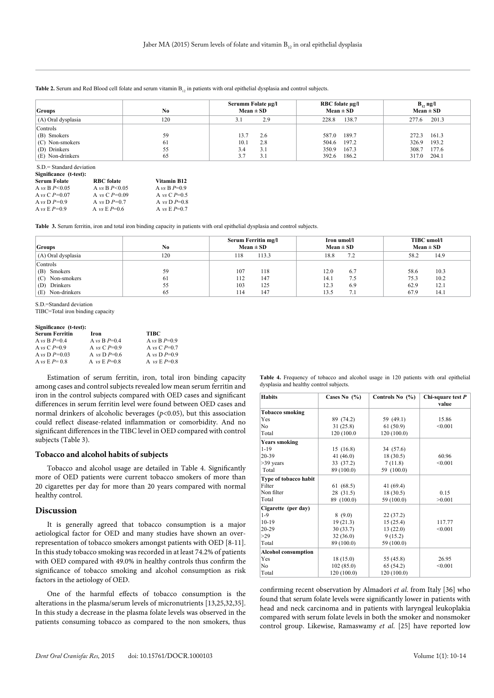#### **Table 2.** Serum and Red Blood cell folate and serum vitamin B<sub>12</sub> in patients with oral epithelial dysplasia and control subjects.

| <b>Groups</b>      | No  | Serumm Folate µg/l<br>$Mean \pm SD$ | RBC folate µg/l<br>$Mean \pm SD$ | $B_1$ , ng/l<br>$Mean \pm SD$ |
|--------------------|-----|-------------------------------------|----------------------------------|-------------------------------|
| (A) Oral dysplasia | 120 | 2.9                                 | 138.7<br>228.8                   | 201.3<br>277.6                |
| Controls           |     |                                     |                                  |                               |
| (B) Smokers        | 59  | 13.7<br>2.6                         | 189.7<br>587.0                   | 161.3<br>272.3                |
| (C) Non-smokers    | 61  | 10.1<br>2.8                         | 504.6 197.2                      | 193.2<br>326.9                |
| (D) Drinkers       | 55  | 3.1<br>3.4                          | 350.9<br>167.3                   | 308.7<br>177.6                |
| (E) Non-drinkers   | 65  | 3.1                                 | 392.6 186.2                      | 204.1<br>317.0                |

S.D.= Standard deviation

| Significance (t-test): |                   |                |  |  |
|------------------------|-------------------|----------------|--|--|
| <b>Serum Folate</b>    | <b>RBC</b> folate | Vitamin B12    |  |  |
| A vs B $P < 0.05$      | A vs B $P < 0.05$ | A vs B $P=0.9$ |  |  |
| A vs C $P=0.07$        | A vs C $P=0.09$   | A vs C $P=0.5$ |  |  |
| A vs D $P=0.9$         | A vs D $P=0.7$    | A vs D $P=0.8$ |  |  |
| A vs $E P=0.9$         | A vs E $P=0.6$    | A vs $E P=0.7$ |  |  |

**Table 3.** Serum ferritin, iron and total iron binding capacity in patients with oral epithelial dysplasia and control subjects.

| <b>Groups</b>      | No  | Serum Ferritin mg/l<br>$Mean \pm SD$ | Iron umol/l<br>$Mean \pm SD$ | TIBC umol/l<br>$Mean \pm SD$ |
|--------------------|-----|--------------------------------------|------------------------------|------------------------------|
| (A) Oral dysplasia | 120 | 113.3<br>118                         | 7.2<br>18.8                  | 14.9<br>58.2                 |
| Controls           |     |                                      |                              |                              |
| Smokers            | 59  | 118                                  | 12.0                         | 10.3                         |
| (B)                |     | 107                                  | 6.7                          | 58.6                         |
| Non-smokers        | 61  | 147                                  | 7.5                          | 10.2                         |
| (C)                |     | 112                                  | 14.1                         | 75.3                         |
| Drinkers           | 55  | 125                                  | 12.3                         | 12.1                         |
| (D)                |     | 103                                  | 6.9                          | 62.9                         |
| Non-drinkers       | 65  | 147                                  | 7.1                          | 14.1                         |
| Œ).                |     | 114                                  | 13.5                         | 67.9                         |

S.D.=Standard deviation

TIBC=Total iron binding capacity

#### **Significance (t-test):**

| <b>Serum Ferritin</b> | Iron           | <b>TIBC</b>    |
|-----------------------|----------------|----------------|
| A vs B $P=0.4$        | A vs B $P=0.4$ | A vs B $P=0.9$ |
| A vs C $P=0.9$        | A vs C $P=0.9$ | A vs C $P=0.7$ |
| A vs D $P=0.03$       | A vs D $P=0.6$ | A vs D $P=0.9$ |
| A vs $E P = 0.8$      | A vs $E P=0.8$ | A $vs E P=0.8$ |

Estimation of serum ferritin, iron, total iron binding capacity among cases and control subjects revealed low mean serum ferritin and iron in the control subjects compared with OED cases and significant differences in serum ferritin level were found between OED cases and normal drinkers of alcoholic beverages (*p*<0.05), but this association could reflect disease-related inflammation or comorbidity. And no significant differences in the TIBC level in OED compared with control subjects (Table 3).

# **Tobacco and alcohol habits of subjects**

Tobacco and alcohol usage are detailed in Table 4. Significantly more of OED patients were current tobacco smokers of more than 20 cigarettes per day for more than 20 years compared with normal healthy control.

# **Discussion**

It is generally agreed that tobacco consumption is a major aetiological factor for OED and many studies have shown an overrepresentation of tobacco smokers amongst patients with OED [8-11]. In this study tobacco smoking was recorded in at least 74.2% of patients with OED compared with 49.0% in healthy controls thus confirm the significance of tobacco smoking and alcohol consumption as risk factors in the aetiology of OED.

One of the harmful effects of tobacco consumption is the alterations in the plasma/serum levels of micronutrients [13,25,32,35]. In this study a decrease in the plasma folate levels was observed in the patients consuming tobacco as compared to the non smokers, thus

**Table 4.** Frequency of tobacco and alcohol usage in 120 patients with oral epithelial dysplasia and healthy control subjects.

| <b>Habits</b>              | Cases No $(\% )$ | Controls No (%) | Chi-square test $P$<br>value |
|----------------------------|------------------|-----------------|------------------------------|
| <b>Tobacco smoking</b>     |                  |                 |                              |
| Yes                        | 89 (74.2)        | 59 (49.1)       | 15.86                        |
| N <sub>0</sub>             | 31(25.8)         | 61(50.9)        | < 0.001                      |
| Total                      | 120 (100.0)      | 120(100.0)      |                              |
| <b>Years smoking</b>       |                  |                 |                              |
| $1 - 19$                   | 15(16.8)         | 34 (57.6)       |                              |
| $20 - 39$                  | 41 $(46.0)$      | 18(30.5)        | 60.96                        |
| $>39$ years                | 33 (37.2)        | 7(11.8)         | < 0.001                      |
| Total                      | 89 (100.0)       | 59 (100.0)      |                              |
| Type of tobacco habit      |                  |                 |                              |
| Filter                     | 61(68.5)         | 41 (69.4)       |                              |
| Non filter                 | 28 (31.5)        | 18(30.5)        | 0.15                         |
| Total                      | 89 (100.0)       | 59 (100.0)      | >0.001                       |
| Cigarette (per day)        |                  |                 |                              |
| $1-9$                      | 8(9.0)           | 22(37.2)        |                              |
| $10-19$                    | 19(21.3)         | 15(25.4)        | 117.77                       |
| $20 - 29$                  | 30(33.7)         | 13(22.0)        | < 0.001                      |
| >29                        | 32(36.0)         | 9(15.2)         |                              |
| Total                      | 89 (100.0)       | 59 (100.0)      |                              |
| <b>Alcohol consumption</b> |                  |                 |                              |
| Yes                        | 18(15.0)         | 55 (45.8)       | 26.95                        |
| N <sub>0</sub>             | 102(85.0)        | 65(54.2)        | < 0.001                      |
| Total                      | 120(100.0)       | 120 (100.0)     |                              |

confirming recent observation by Almadori *et al*. from Italy [36] who found that serum folate levels were significantly lower in patients with head and neck carcinoma and in patients with laryngeal leukoplakia compared with serum folate levels in both the smoker and nonsmoker control group. Likewise, Ramaswamy *et al*. [25] have reported low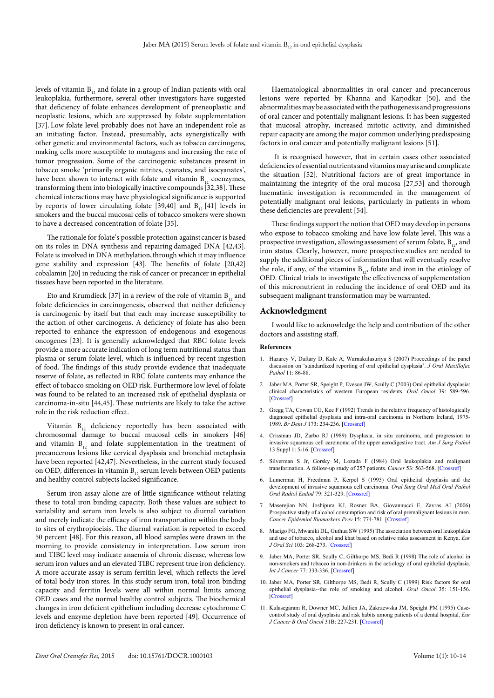levels of vitamin  $B_{12}$  and folate in a group of Indian patients with oral leukoplakia, furthermore, several other investigators have suggested that deficiency of folate enhances development of preneoplastic and neoplastic lesions, which are suppressed by folate supplementation [37]. Low folate level probably does not have an independent role as an initiating factor. Instead, presumably, acts synergistically with other genetic and environmental factors, such as tobacco carcinogens, making cells more susceptible to mutagens and increasing the rate of tumor progression. Some of the carcinogenic substances present in tobacco smoke 'primarily organic nitrites, cyanates, and isocyanates', have been shown to interact with folate and vitamin  $B_{12}$  coenzymes, transforming them into biologically inactive compounds [32,38]. These chemical interactions may have physiological significance is supported by reports of lower circulating folate [39,40] and  $B_{12}$  [41] levels in smokers and the buccal mucosal cells of tobacco smokers were shown to have a decreased concentration of folate [35].

The rationale for folate's possible protection against cancer is based on its roles in DNA synthesis and repairing damaged DNA [42,43]. Folate is involved in DNA methylation, through which it may influence gene stability and expression [43]. The benefits of folate [20,42] cobalamin [20] in reducing the risk of cancer or precancer in epithelial tissues have been reported in the literature.

Eto and Krumdieck [37] in a review of the role of vitamin  $B_{12}$  and folate deficiencies in carcinogenesis, observed that neither deficiency is carcinogenic by itself but that each may increase susceptibility to the action of other carcinogens. A deficiency of folate has also been reported to enhance the expression of endogenous and exogenous oncogenes [23]. It is generally acknowledged that RBC folate levels provide a more accurate indication of long term nutritional status than plasma or serum folate level, which is influenced by recent ingestion of food. The findings of this study provide evidence that inadequate reserve of folate, as reflected in RBC folate contents may enhance the effect of tobacco smoking on OED risk. Furthermore low level of folate was found to be related to an increased risk of epithelial dysplasia or carcinoma-in-situ [44,45]. These nutrients are likely to take the active role in the risk reduction effect.

Vitamin  $B_{12}$  deficiency reportedly has been associated with chromosomal damage to buccal mucosal cells in smokers [46] and vitamin  $B_{12}$  and folate supplementation in the treatment of precancerous lesions like cervical dysplasia and bronchial metaplasia have been reported [42,47]. Nevertheless, in the current study focused on OED, differences in vitamin  $B_{12}$  serum levels between OED patients and healthy control subjects lacked significance.

Serum iron assay alone are of little significance without relating these to total iron binding capacity. Both these values are subject to variability and serum iron levels is also subject to diurnal variation and merely indicate the efficacy of iron transportation within the body to sites of erythropioeisis. The diurnal variation is reported to exceed 50 percent [48]. For this reason, all blood samples were drawn in the morning to provide consistency in interpretation. Low serum iron and TIBC level may indicate anaemia of chronic disease, whereas low serum iron values and an elevated TIBC represent true iron deficiency. A more accurate assay is serum ferritin level, which reflects the level of total body iron stores. In this study serum iron, total iron binding capacity and ferritin levels were all within normal limits among OED cases and the normal healthy control subjects. The biochemical changes in iron deficient epithelium including decrease cytochrome C levels and enzyme depletion have been reported [49]. Occurrence of iron deficiency is known to present in oral cancer.

Haematological abnormalities in oral cancer and precancerous lesions were reported by Khanna and Karjodkar [50], and the abnormalities may be associated with the pathogenesis and progressions of oral cancer and potentially malignant lesions. It has been suggested that mucosal atrophy, increased mitotic activity, and diminished repair capacity are among the major common underlying predisposing factors in oral cancer and potentially malignant lesions [51].

 It is recognised however, that in certain cases other associated deficiencies of essential nutrients and vitamins may arise and complicate the situation [52]. Nutritional factors are of great importance in maintaining the integrity of the oral mucosa [27,53] and thorough haematinic investigation is recommended in the management of potentially malignant oral lesions, particularly in patients in whom these deficiencies are prevalent [54].

These findings support the notion that OED may develop in persons who expose to tobacco smoking and have low folate level. This was a prospective investigation, allowing assessment of serum folate,  $B_{12}$ , and iron status. Clearly, however, more prospective studies are needed to supply the additional pieces of information that will eventually resolve the role, if any, of the vitamins  $B_{12}$ , folate and iron in the etiology of OED. Clinical trials to investigate the effectiveness of supplementation of this micronutrient in reducing the incidence of oral OED and its subsequent malignant transformation may be warranted.

# **Acknowledgment**

I would like to acknowledge the help and contribution of the other doctors and assisting staff.

### **References**

- 1. Hazarey V, Daftary D, Kale A, Warnakulasuriya S (2007) Proceedings of the panel discussion on 'standardized reporting of oral epithelial dysplasia'. *J Oral Maxillofac Pathol* 11: 86-88.
- 2. Jaber MA, Porter SR, Speight P, Eveson JW, Scully C (2003) Oral epithelial dysplasia: clinical characteristics of western European residents. *Oral Oncol* 39: 589-596. [[Crossref\]](http://www.ncbi.nlm.nih.gov/pubmed/12798402)
- 3. Gregg TA, Cowan CG, Kee F (1992) Trends in the relative frequency of histologically diagnosed epithelial dysplasia and intra-oral carcinoma in Northern Ireland, 1975- 1989. *Br Dent J* 173: 234-236. [\[Crossref](http://www.ncbi.nlm.nih.gov/pubmed/1298233)]
- 4. Crissman JD, Zarbo RJ (1989) Dysplasia, in situ carcinoma, and progression to invasive squamous cell carcinoma of the upper aerodigestive tract. *Am J Surg Pathol* 13 Suppl 1: 5-16. [\[Crossref\]](http://www.ncbi.nlm.nih.gov/pubmed/2699168)
- 5. Silverman S Jr, Gorsky M, Lozada F (1984) Oral leukoplakia and malignant transformation. A follow-up study of 257 patients. *Cancer* 53: 563-568. [[Crossref](http://www.ncbi.nlm.nih.gov/pubmed/6537892)]
- 6. Lumerman H, Freedman P, Kerpel S (1995) Oral epithelial dysplasia and the development of invasive squamous cell carcinoma. *Oral Surg Oral Med Oral Pathol Oral Radiol Endod* 79: 321-329. [[Crossref\]](http://www.ncbi.nlm.nih.gov/pubmed/7621010)
- 7. Maserejian NN, Joshipura KJ, Rosner BA, Giovannucci E, Zavras AI (2006) Prospective study of alcohol consumption and risk of oral premalignant lesions in men. *Cancer Epidemiol Biomarkers Prev* 15: 774-781. [[Crossref](http://www.ncbi.nlm.nih.gov/pubmed/16614123)]
- 8. Macigo FG, Mwaniki DL, Guthua SW (1995) The association between oral leukoplakia and use of tobacco, alcohol and khat based on relative risks assessment in Kenya. *Eur J Oral Sci* 103: 268-273. [\[Crossref\]](http://www.ncbi.nlm.nih.gov/pubmed/8521116)
- 9. Jaber MA, Porter SR, Scully C, Gilthorpe MS, Bedi R (1998) The role of alcohol in non-smokers and tobacco in non-drinkers in the aetiology of oral epithelial dysplasia. *Int J Cancer* 77: 333-336. [\[Crossref\]](http://www.ncbi.nlm.nih.gov/pubmed/9663591)
- 10. Jaber MA, Porter SR, Gilthorpe MS, Bedi R, Scully C (1999) Risk factors for oral epithelial dysplasia--the role of smoking and alcohol. *Oral Oncol* 35: 151-156. [[Crossref\]](http://www.ncbi.nlm.nih.gov/pubmed/10435149)
- 11. Kulasegaram R, Downer MC, Jullien JA, Zakrzewska JM, Speight PM (1995) Casecontrol study of oral dysplasia and risk habits among patients of a dental hospital. *Eur J Cancer B Oral Oncol* 31B: 227-231. [\[Crossref\]](http://www.ncbi.nlm.nih.gov/pubmed/7492917)